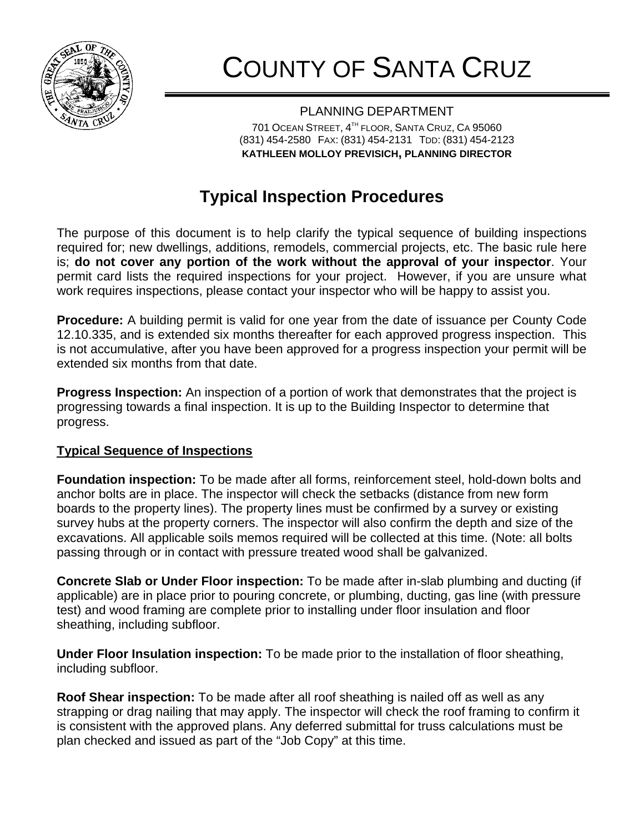

## COUNTY OF SANTA CRUZ

PLANNING DEPARTMENT 701 OCEAN STREET, 4<sup>TH</sup> FLOOR, SANTA CRUZ, CA 95060 (831) 454-2580 FAX: (831) 454-2131 TDD: (831) 454-2123 **KATHLEEN MOLLOY PREVISICH, PLANNING DIRECTOR**

## **Typical Inspection Procedures**

The purpose of this document is to help clarify the typical sequence of building inspections required for; new dwellings, additions, remodels, commercial projects, etc. The basic rule here is; **do not cover any portion of the work without the approval of your inspector**. Your permit card lists the required inspections for your project. However, if you are unsure what work requires inspections, please contact your inspector who will be happy to assist you.

**Procedure:** A building permit is valid for one year from the date of issuance per County Code 12.10.335, and is extended six months thereafter for each approved progress inspection. This is not accumulative, after you have been approved for a progress inspection your permit will be extended six months from that date.

**Progress Inspection:** An inspection of a portion of work that demonstrates that the project is progressing towards a final inspection. It is up to the Building Inspector to determine that progress.

## **Typical Sequence of Inspections**

**Foundation inspection:** To be made after all forms, reinforcement steel, hold-down bolts and anchor bolts are in place. The inspector will check the setbacks (distance from new form boards to the property lines). The property lines must be confirmed by a survey or existing survey hubs at the property corners. The inspector will also confirm the depth and size of the excavations. All applicable soils memos required will be collected at this time. (Note: all bolts passing through or in contact with pressure treated wood shall be galvanized.

**Concrete Slab or Under Floor inspection:** To be made after in-slab plumbing and ducting (if applicable) are in place prior to pouring concrete, or plumbing, ducting, gas line (with pressure test) and wood framing are complete prior to installing under floor insulation and floor sheathing, including subfloor.

**Under Floor Insulation inspection:** To be made prior to the installation of floor sheathing, including subfloor.

**Roof Shear inspection:** To be made after all roof sheathing is nailed off as well as any strapping or drag nailing that may apply. The inspector will check the roof framing to confirm it is consistent with the approved plans. Any deferred submittal for truss calculations must be plan checked and issued as part of the "Job Copy" at this time.